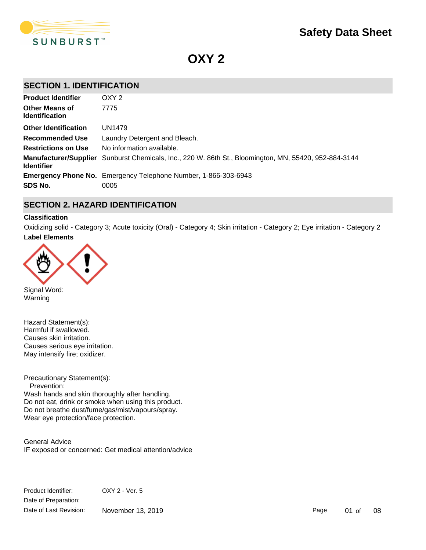

**OXY 2**

# **SECTION 1. IDENTIFICATION**

| <b>Product Identifier</b>                      | OXY <sub>2</sub>                                                                                      |
|------------------------------------------------|-------------------------------------------------------------------------------------------------------|
| <b>Other Means of</b><br><b>Identification</b> | 7775                                                                                                  |
| <b>Other Identification</b>                    | UN1479                                                                                                |
| Recommended Use                                | Laundry Detergent and Bleach.                                                                         |
| <b>Restrictions on Use</b>                     | No information available.                                                                             |
| <b>Identifier</b>                              | Manufacturer/Supplier Sunburst Chemicals, Inc., 220 W. 86th St., Bloomington, MN, 55420, 952-884-3144 |
|                                                | <b>Emergency Phone No.</b> Emergency Telephone Number, 1-866-303-6943                                 |
| SDS No.                                        | 0005                                                                                                  |

# **SECTION 2. HAZARD IDENTIFICATION**

# **Classification**

**Label Elements** Oxidizing solid - Category 3; Acute toxicity (Oral) - Category 4; Skin irritation - Category 2; Eye irritation - Category 2

IF IN EYES: Rinse cautiously with water for several minutes. Remove contact lenses, if present and easy to do.



Signal Word: Warning

Hazard Statement(s): Harmful if swallowed. Causes skin irritation. Causes serious eye irritation. May intensify fire; oxidizer.

Precautionary Statement(s): Prevention: Wash hands and skin thoroughly after handling. Do not eat, drink or smoke when using this product. Do not breathe dust/fume/gas/mist/vapours/spray. Wear eye protection/face protection.

General Advice IF exposed or concerned: Get medical attention/advice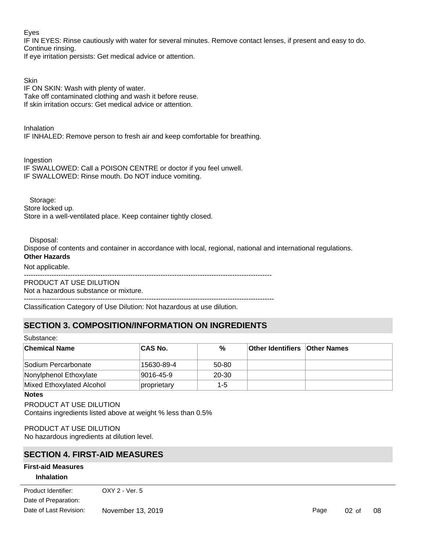## Eyes

IF IN EYES: Rinse cautiously with water for several minutes. Remove contact lenses, if present and easy to do. Continue rinsing.

If eye irritation persists: Get medical advice or attention.

# **Skin**

IF ON SKIN: Wash with plenty of water. Take off contaminated clothing and wash it before reuse. If skin irritation occurs: Get medical advice or attention.

Inhalation IF INHALED: Remove person to fresh air and keep comfortable for breathing.

Ingestion IF SWALLOWED: Call a POISON CENTRE or doctor if you feel unwell. IF SWALLOWED: Rinse mouth. Do NOT induce vomiting.

 Storage: Store locked up.

Store in a well-ventilated place. Keep container tightly closed.

Disposal:

Dispose of contents and container in accordance with local, regional, national and international regulations. **Other Hazards**

## Not applicable.

-----------------------------------------------------------------------------------------------------------

PRODUCT AT USE DILUTION Not a hazardous substance or mixture.

------------------------------------------------------------------------------------------------------------ Classification Category of Use Dilution: Not hazardous at use dilution.

# **SECTION 3. COMPOSITION/INFORMATION ON INGREDIENTS**

| Substance:                |             |           |                                      |  |  |
|---------------------------|-------------|-----------|--------------------------------------|--|--|
| <b>Chemical Name</b>      | ∣CAS No.    | %         | <b>Other Identifiers Other Names</b> |  |  |
| Sodium Percarbonate       | 15630-89-4  | $50 - 80$ |                                      |  |  |
| Nonylphenol Ethoxylate    | 9016-45-9   | $20 - 30$ |                                      |  |  |
| Mixed Ethoxylated Alcohol | proprietary | 1-5       |                                      |  |  |

**Notes**

PRODUCT AT USE DILUTION Contains ingredients listed above at weight % less than 0.5%

PRODUCT AT USE DILUTION No hazardous ingredients at dilution level.

# **SECTION 4. FIRST-AID MEASURES**

## **First-aid Measures**

## **Inhalation**

 $R_{\text{net}}$  fremover or  $\alpha$  or  $\alpha$  and  $\alpha$  free or attention if  $\alpha$  is  $\alpha$  is  $\alpha$  is  $\alpha$  is  $\alpha$  is an area of  $\alpha$  is  $\alpha$  is  $\alpha$  is  $\alpha$  is  $\alpha$  is  $\alpha$  is  $\alpha$  is  $\alpha$  is  $\alpha$  is  $\alpha$  is  $\alpha$  is  $\alpha$  is  $\alpha$  is ...............<br>Date of Preparation: Product Identifier: OXY 2 - Ver. 5 Date of Last Revision: November 13, 2019

Page 02 of 08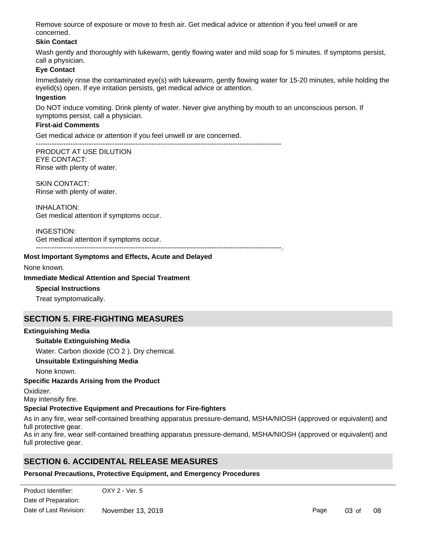Remove source of exposure or move to fresh air. Get medical advice or attention if you feel unwell or are concerned.

## **Skin Contact**

Wash gently and thoroughly with lukewarm, gently flowing water and mild soap for 5 minutes. If symptoms persist, call a physician.

## **Eye Contact**

Immediately rinse the contaminated eye(s) with lukewarm, gently flowing water for 15-20 minutes, while holding the eyelid(s) open. If eye irritation persists, get medical advice or attention.

#### **Ingestion**

Do NOT induce vomiting. Drink plenty of water. Never give anything by mouth to an unconscious person. If symptoms persist, call a physician.

#### **First-aid Comments**

Get medical advice or attention if you feel unwell or are concerned.

---------------------------------------------------------------------------------------------------------- PRODUCT AT USE DILUTION

EYE CONTACT: Rinse with plenty of water.

SKIN CONTACT: Rinse with plenty of water.

INHALATION: Get medical attention if symptoms occur.

INGESTION: Get medical attention if symptoms occur.

----------------------------------------------------------------------------------------------------------.

#### **Most Important Symptoms and Effects, Acute and Delayed**

None known.

#### **Immediate Medical Attention and Special Treatment**

**Special Instructions**

Treat symptomatically.

# **SECTION 5. FIRE-FIGHTING MEASURES**

## **Extinguishing Media**

## **Suitable Extinguishing Media**

Water. Carbon dioxide (CO 2 ). Dry chemical.

## **Unsuitable Extinguishing Media**

None known.

## **Specific Hazards Arising from the Product**

Oxidizer.

May intensify fire.

## **Special Protective Equipment and Precautions for Fire-fighters**

As in any fire, wear self-contained breathing apparatus pressure-demand, MSHA/NIOSH (approved or equivalent) and full protective gear.

As in any fire, wear self-contained breathing apparatus pressure-demand, MSHA/NIOSH (approved or equivalent) and full protective gear.

Avoid contact with skin, eyes and clothing. Do not breathe spray mist. Ensure adequate ventilation. Use personal

# **SECTION 6. ACCIDENTAL RELEASE MEASURES**

**Personal Precautions, Protective Equipment, and Emergency Procedures**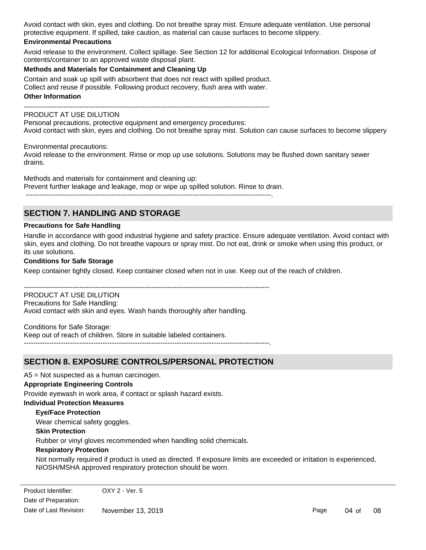Avoid contact with skin, eyes and clothing. Do not breathe spray mist. Ensure adequate ventilation. Use personal protective equipment. If spilled, take caution, as material can cause surfaces to become slippery.

### **Environmental Precautions**

Avoid release to the environment. Collect spillage. See Section 12 for additional Ecological Information. Dispose of contents/container to an approved waste disposal plant.

#### **Methods and Materials for Containment and Cleaning Up**

Contain and soak up spill with absorbent that does not react with spilled product. Collect and reuse if possible. Following product recovery, flush area with water.

#### **Other Information**

----------------------------------------------------------------------------------------------------------

## PRODUCT AT USE DILUTION

Personal precautions, protective equipment and emergency procedures: Avoid contact with skin, eyes and clothing. Do not breathe spray mist. Solution can cause surfaces to become slippery

Environmental precautions:

Avoid release to the environment. Rinse or mop up use solutions. Solutions may be flushed down sanitary sewer drains.

Methods and materials for containment and cleaning up: Prevent further leakage and leakage, mop or wipe up spilled solution. Rinse to drain.

#### ----------------------------------------------------------------------------------------------------------.

# **SECTION 7. HANDLING AND STORAGE**

#### **Precautions for Safe Handling**

Handle in accordance with good industrial hygiene and safety practice. Ensure adequate ventilation. Avoid contact with skin, eyes and clothing. Do not breathe vapours or spray mist. Do not eat, drink or smoke when using this product, or its use solutions.

#### **Conditions for Safe Storage**

Keep container tightly closed. Keep container closed when not in use. Keep out of the reach of children.

----------------------------------------------------------------------------------------------------------

PRODUCT AT USE DILUTION Precautions for Safe Handling: Avoid contact with skin and eyes. Wash hands thoroughly after handling.

Conditions for Safe Storage: Keep out of reach of children. Store in suitable labeled containers. ----------------------------------------------------------------------------------------------------------.

# **SECTION 8. EXPOSURE CONTROLS/PERSONAL PROTECTION**

A5 = Not suspected as a human carcinogen.

#### **Appropriate Engineering Controls**

Provide eyewash in work area, if contact or splash hazard exists.

#### **Individual Protection Measures**

#### **Eye/Face Protection**

Wear chemical safety goggles.

**Skin Protection**

Rubber or vinyl gloves recommended when handling solid chemicals.

#### **Respiratory Protection**

Not normally required if product is used as directed. If exposure limits are exceeded or irritation is experienced, NIOSH/MSHA approved respiratory protection should be worn.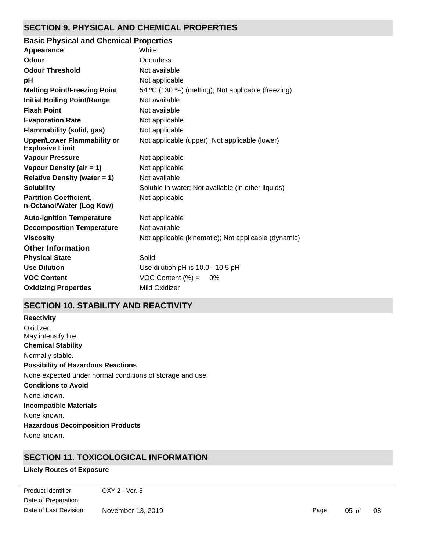# **SECTION 9. PHYSICAL AND CHEMICAL PROPERTIES**

| <b>Basic Physical and Chemical Properties</b>                |                                                      |
|--------------------------------------------------------------|------------------------------------------------------|
| Appearance                                                   | White.                                               |
| Odour                                                        | <b>Odourless</b>                                     |
| <b>Odour Threshold</b>                                       | Not available                                        |
| рH                                                           | Not applicable                                       |
| <b>Melting Point/Freezing Point</b>                          | 54 °C (130 °F) (melting); Not applicable (freezing)  |
| <b>Initial Boiling Point/Range</b>                           | Not available                                        |
| <b>Flash Point</b>                                           | Not available                                        |
| <b>Evaporation Rate</b>                                      | Not applicable                                       |
| Flammability (solid, gas)                                    | Not applicable                                       |
| <b>Upper/Lower Flammability or</b><br><b>Explosive Limit</b> | Not applicable (upper); Not applicable (lower)       |
| <b>Vapour Pressure</b>                                       | Not applicable                                       |
| Vapour Density (air = 1)                                     | Not applicable                                       |
| <b>Relative Density (water = 1)</b>                          | Not available                                        |
| <b>Solubility</b>                                            | Soluble in water; Not available (in other liquids)   |
| <b>Partition Coefficient,</b><br>n-Octanol/Water (Log Kow)   | Not applicable                                       |
| <b>Auto-ignition Temperature</b>                             | Not applicable                                       |
| <b>Decomposition Temperature</b>                             | Not available                                        |
| <b>Viscosity</b>                                             | Not applicable (kinematic); Not applicable (dynamic) |
| <b>Other Information</b>                                     |                                                      |
| <b>Physical State</b>                                        | Solid                                                |
| <b>Use Dilution</b>                                          | Use dilution pH is 10.0 - 10.5 pH                    |
| <b>VOC Content</b>                                           | VOC Content $(\% ) = 0\%$                            |
| <b>Oxidizing Properties</b>                                  | Mild Oxidizer                                        |

# **SECTION 10. STABILITY AND REACTIVITY**

**Chemical Stability** Normally stable. **Conditions to Avoid** None known. **Incompatible Materials** None known. **Hazardous Decomposition Products** None known. **Possibility of Hazardous Reactions** None expected under normal conditions of storage and use. **Reactivity** Oxidizer. May intensify fire.

# **SECTION 11. TOXICOLOGICAL INFORMATION**

# **Likely Routes of Exposure**

Date of Preparation: Product Identifier: OXY 2 - Ver. 5 Date of Last Revision: November 13, 2019

Page 05 of 08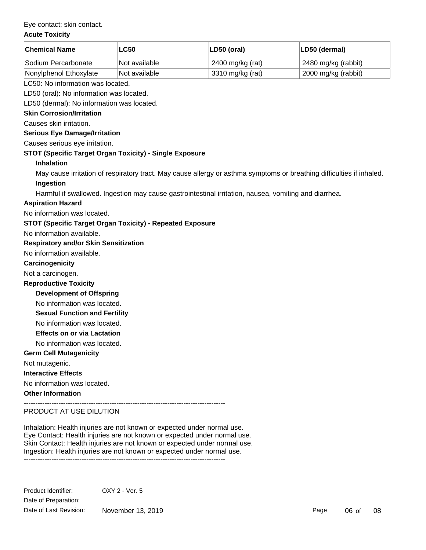## Eye contact; skin contact.

### **Acute Toxicity**

| <b>Chemical Name</b>                                             | <b>LC50</b>                                                                                           | LD50 (oral)      | LD50 (dermal)                                                                                                         |  |  |
|------------------------------------------------------------------|-------------------------------------------------------------------------------------------------------|------------------|-----------------------------------------------------------------------------------------------------------------------|--|--|
| Sodium Percarbonate                                              | Not available                                                                                         | 2400 mg/kg (rat) | 2480 mg/kg (rabbit)                                                                                                   |  |  |
| Nonylphenol Ethoxylate                                           | Not available                                                                                         | 3310 mg/kg (rat) | 2000 mg/kg (rabbit)                                                                                                   |  |  |
| LC50: No information was located.                                |                                                                                                       |                  |                                                                                                                       |  |  |
| LD50 (oral): No information was located.                         |                                                                                                       |                  |                                                                                                                       |  |  |
| LD50 (dermal): No information was located.                       |                                                                                                       |                  |                                                                                                                       |  |  |
| <b>Skin Corrosion/Irritation</b>                                 |                                                                                                       |                  |                                                                                                                       |  |  |
| Causes skin irritation.                                          |                                                                                                       |                  |                                                                                                                       |  |  |
| <b>Serious Eye Damage/Irritation</b>                             |                                                                                                       |                  |                                                                                                                       |  |  |
| Causes serious eye irritation.                                   |                                                                                                       |                  |                                                                                                                       |  |  |
| STOT (Specific Target Organ Toxicity) - Single Exposure          |                                                                                                       |                  |                                                                                                                       |  |  |
| <b>Inhalation</b>                                                |                                                                                                       |                  |                                                                                                                       |  |  |
|                                                                  |                                                                                                       |                  | May cause irritation of respiratory tract. May cause allergy or asthma symptoms or breathing difficulties if inhaled. |  |  |
| Ingestion                                                        |                                                                                                       |                  |                                                                                                                       |  |  |
|                                                                  | Harmful if swallowed. Ingestion may cause gastrointestinal irritation, nausea, vomiting and diarrhea. |                  |                                                                                                                       |  |  |
| <b>Aspiration Hazard</b>                                         |                                                                                                       |                  |                                                                                                                       |  |  |
| No information was located.                                      |                                                                                                       |                  |                                                                                                                       |  |  |
| <b>STOT (Specific Target Organ Toxicity) - Repeated Exposure</b> |                                                                                                       |                  |                                                                                                                       |  |  |
| No information available.                                        |                                                                                                       |                  |                                                                                                                       |  |  |
| <b>Respiratory and/or Skin Sensitization</b>                     |                                                                                                       |                  |                                                                                                                       |  |  |
| No information available.                                        |                                                                                                       |                  |                                                                                                                       |  |  |
| Carcinogenicity                                                  |                                                                                                       |                  |                                                                                                                       |  |  |
| Not a carcinogen.                                                |                                                                                                       |                  |                                                                                                                       |  |  |
| <b>Reproductive Toxicity</b>                                     |                                                                                                       |                  |                                                                                                                       |  |  |
| <b>Development of Offspring</b>                                  |                                                                                                       |                  |                                                                                                                       |  |  |
| No information was located.                                      |                                                                                                       |                  |                                                                                                                       |  |  |
| <b>Sexual Function and Fertility</b>                             |                                                                                                       |                  |                                                                                                                       |  |  |
|                                                                  | No information was located.                                                                           |                  |                                                                                                                       |  |  |
| <b>Effects on or via Lactation</b>                               |                                                                                                       |                  |                                                                                                                       |  |  |
| No information was located.                                      |                                                                                                       |                  |                                                                                                                       |  |  |
| <b>Germ Cell Mutagenicity</b>                                    |                                                                                                       |                  |                                                                                                                       |  |  |
| Not mutagenic.                                                   |                                                                                                       |                  |                                                                                                                       |  |  |
| <b>Interactive Effects</b>                                       |                                                                                                       |                  |                                                                                                                       |  |  |
| No information was located.                                      |                                                                                                       |                  |                                                                                                                       |  |  |
| <b>Other Information</b>                                         |                                                                                                       |                  |                                                                                                                       |  |  |
| PRODUCT AT USE DILUTION                                          |                                                                                                       |                  |                                                                                                                       |  |  |

Inhalation: Health injuries are not known or expected under normal use. Eye Contact: Health injuries are not known or expected under normal use. Skin Contact: Health injuries are not known or expected under normal use. Ingestion: Health injuries are not known or expected under normal use.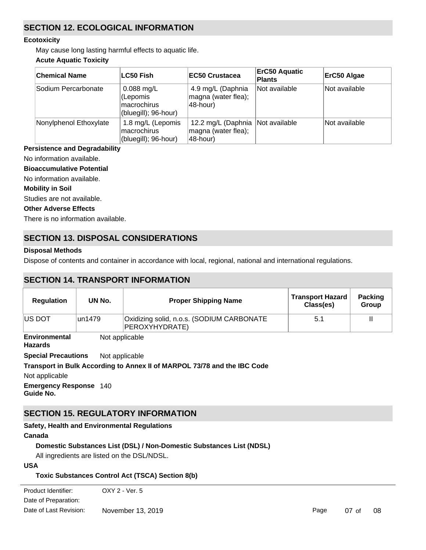# **SECTION 12. ECOLOGICAL INFORMATION**

### **Ecotoxicity**

May cause long lasting harmful effects to aquatic life.

# **Acute Aquatic Toxicity**

| <b>Chemical Name</b>   | LC50 Fish                                                              | <b>IEC50 Crustacea</b>                                                | <b>ErC50 Aquatic</b><br><b>Plants</b> | ErC50 Algae   |
|------------------------|------------------------------------------------------------------------|-----------------------------------------------------------------------|---------------------------------------|---------------|
| Sodium Percarbonate    | $0.088$ mg/L<br>(Lepomis<br><b>macrochirus</b><br>(bluegill); 96-hour) | 4.9 mg/L (Daphnia<br>magna (water flea);<br>48-hour)                  | Not available                         | Not available |
| Nonylphenol Ethoxylate | 1.8 mg/L (Lepomis<br>macrochirus<br>(bluegill); 96-hour)               | 12.2 mg/L (Daphnia   Not available<br>magna (water flea);<br>48-hour) |                                       | Not available |

# **Persistence and Degradability**

No information available.

**Bioaccumulative Potential**

No information available.

## **Mobility in Soil**

Studies are not available.

## **Other Adverse Effects**

There is no information available.

# **SECTION 13. DISPOSAL CONSIDERATIONS**

# **Disposal Methods**

Dispose of contents and container in accordance with local, regional, national and international regulations.

# **SECTION 14. TRANSPORT INFORMATION**

| <b>Regulation</b>                            | UN No.         | <b>Proper Shipping Name</b>                                              | <b>Transport Hazard</b><br>Class(es) | <b>Packing</b><br>Group |  |
|----------------------------------------------|----------------|--------------------------------------------------------------------------|--------------------------------------|-------------------------|--|
| IUS DOT                                      | un1479         | Oxidizing solid, n.o.s. (SODIUM CARBONATE<br>PEROXYHYDRATE)              | 5.1                                  | Ш                       |  |
| <b>Environmental</b><br><b>Hazards</b>       | Not applicable |                                                                          |                                      |                         |  |
| <b>Special Precautions</b><br>Not applicable |                |                                                                          |                                      |                         |  |
|                                              |                | Transport in Bulk According to Annex II of MARPOL 73/78 and the IBC Code |                                      |                         |  |
| Not applicable                               |                |                                                                          |                                      |                         |  |
| <b>Emergency Response 140</b><br>Guide No.   |                |                                                                          |                                      |                         |  |

# **SECTION 15. REGULATORY INFORMATION**

## **Safety, Health and Environmental Regulations**

## **Canada**

# **Domestic Substances List (DSL) / Non-Domestic Substances List (NDSL)**

All ingredients are listed on the DSL/NDSL.

## **USA**

# **Toxic Substances Control Act (TSCA) Section 8(b)**

OXY 2 - Ver. 5 Date of Preparation: Product Identifier: Date of Last Revision: November 13, 2019